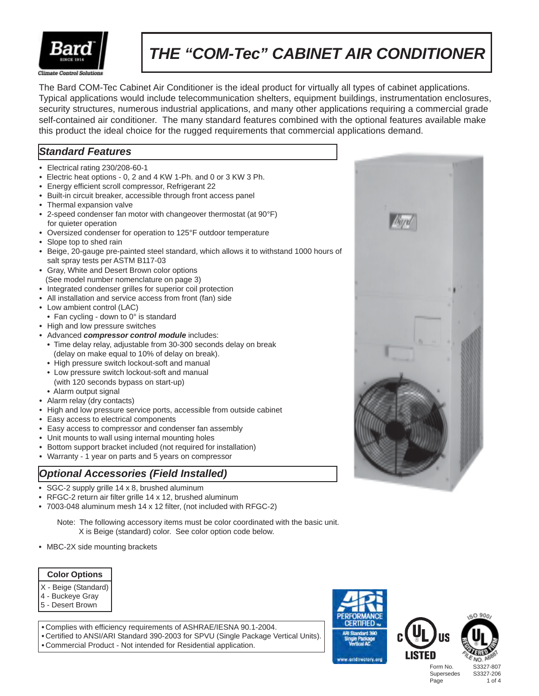

# *THE "COM-Tec" CABINET AIR CONDITIONER*

The Bard COM-Tec Cabinet Air Conditioner is the ideal product for virtually all types of cabinet applications. Typical applications would include telecommunication shelters, equipment buildings, instrumentation enclosures, security structures, numerous industrial applications, and many other applications requiring a commercial grade self-contained air conditioner. The many standard features combined with the optional features available make this product the ideal choice for the rugged requirements that commercial applications demand.

# *Standard Features*

- **•** Electrical rating 230/208-60-1
- **•** Electric heat options 0, 2 and 4 KW 1-Ph. and 0 or 3 KW 3 Ph.
- **•** Energy efficient scroll compressor, Refrigerant 22
- **•** Built-in circuit breaker, accessible through front access panel
- **•** Thermal expansion valve
- **•** 2-speed condenser fan motor with changeover thermostat (at 90°F) for quieter operation
- **•** Oversized condenser for operation to 125°F outdoor temperature
- **•** Slope top to shed rain
- **•** Beige, 20-gauge pre-painted steel standard, which allows it to withstand 1000 hours of salt spray tests per ASTM B117-03
- **•** Gray, White and Desert Brown color options (See model number nomenclature on page 3)
- **•** Integrated condenser grilles for superior coil protection
- **•** All installation and service access from front (fan) side
- **•** Low ambient control (LAC)
- **•** Fan cycling down to 0° is standard
- **•** High and low pressure switches
- **•** Advanced *compressor control module* includes:
	- **•** Time delay relay, adjustable from 30-300 seconds delay on break (delay on make equal to 10% of delay on break).
	- **•** High pressure switch lockout-soft and manual
	- **•** Low pressure switch lockout-soft and manual (with 120 seconds bypass on start-up)
- **•** Alarm output signal
- **•** Alarm relay (dry contacts)
- **•** High and low pressure service ports, accessible from outside cabinet
- **•** Easy access to electrical components
- **•** Easy access to compressor and condenser fan assembly
- **•** Unit mounts to wall using internal mounting holes
- **•** Bottom support bracket included (not required for installation)
- **•** Warranty 1 year on parts and 5 years on compressor

### *Optional Accessories (Field Installed)*

- **•** SGC-2 supply grille 14 x 8, brushed aluminum
- **•** RFGC-2 return air filter grille 14 x 12, brushed aluminum
- **•** 7003-048 aluminum mesh 14 x 12 filter, (not included with RFGC-2)

 Note: The following accessory items must be color coordinated with the basic unit. X is Beige (standard) color. See color option code below.

**•** MBC-2X side mounting brackets

#### **Color Options**

- X Beige (Standard)
- 4 Buckeye Gray
- 5 Desert Brown

**•** Complies with efficiency requirements of ASHRAE/IESNA 90.1-2004. **•** Certified to ANSI/ARI Standard 390-2003 for SPVU (Single Package Vertical Units). **•** Commercial Product - Not intended for Residential application.







 $0.900$ 

Form No. S3327-807 Supersedes S3327-206 Page 1 of 4

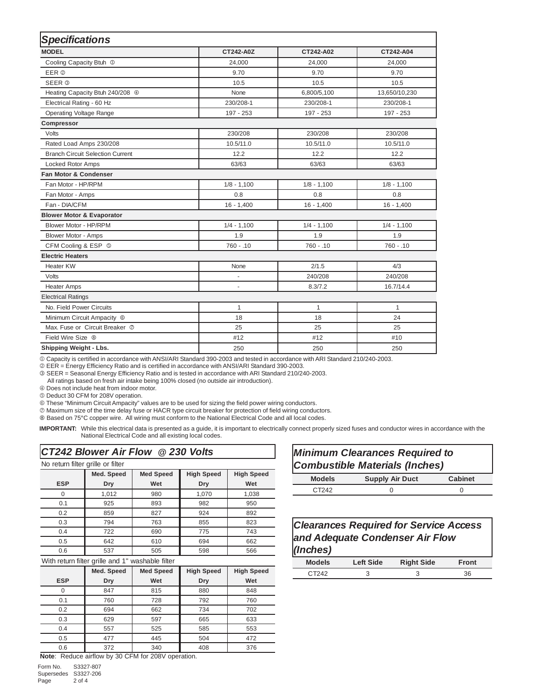| <b>Specifications</b>                      |               |               |               |  |  |  |  |  |
|--------------------------------------------|---------------|---------------|---------------|--|--|--|--|--|
| <b>MODEL</b>                               | CT242-A0Z     | CT242-A02     | CT242-A04     |  |  |  |  |  |
| Cooling Capacity Btuh <sup>1</sup>         | 24,000        | 24,000        | 24,000        |  |  |  |  |  |
| EER @                                      | 9.70          | 9.70          | 9.70          |  |  |  |  |  |
| <b>SEER <sup>®</sup></b>                   | 10.5          | 10.5          | 10.5          |  |  |  |  |  |
| Heating Capacity Btuh 240/208 <sup>4</sup> | None          | 6,800/5,100   | 13,650/10,230 |  |  |  |  |  |
| Electrical Rating - 60 Hz                  | 230/208-1     | 230/208-1     | 230/208-1     |  |  |  |  |  |
| <b>Operating Voltage Range</b>             | 197 - 253     | 197 - 253     | 197 - 253     |  |  |  |  |  |
| Compressor                                 |               |               |               |  |  |  |  |  |
| Volts                                      | 230/208       | 230/208       | 230/208       |  |  |  |  |  |
| Rated Load Amps 230/208                    | 10.5/11.0     | 10.5/11.0     | 10.5/11.0     |  |  |  |  |  |
| <b>Branch Circuit Selection Current</b>    | 12.2          | 12.2          | 12.2          |  |  |  |  |  |
| Locked Rotor Amps                          | 63/63         | 63/63         | 63/63         |  |  |  |  |  |
| <b>Fan Motor &amp; Condenser</b>           |               |               |               |  |  |  |  |  |
| Fan Motor - HP/RPM                         | $1/8 - 1,100$ | $1/8 - 1,100$ | $1/8 - 1,100$ |  |  |  |  |  |
| Fan Motor - Amps                           | 0.8           | 0.8           | 0.8           |  |  |  |  |  |
| Fan - DIA/CFM                              | $16 - 1,400$  | $16 - 1,400$  | $16 - 1,400$  |  |  |  |  |  |
| <b>Blower Motor &amp; Evaporator</b>       |               |               |               |  |  |  |  |  |
| Blower Motor - HP/RPM                      | $1/4 - 1,100$ | $1/4 - 1,100$ | $1/4 - 1,100$ |  |  |  |  |  |
| <b>Blower Motor - Amps</b>                 | 1.9           | 1.9           | 1.9           |  |  |  |  |  |
| CFM Cooling & ESP ©                        | $760 - 0.10$  | $760 - 0.10$  | $760 - .10$   |  |  |  |  |  |
| <b>Electric Heaters</b>                    |               |               |               |  |  |  |  |  |
| <b>Heater KW</b>                           | None          | 2/1.5         | 4/3           |  |  |  |  |  |
| Volts                                      | ÷,            | 240/208       | 240/208       |  |  |  |  |  |
| <b>Heater Amps</b>                         | ٠             | 8.3/7.2       | 16.7/14.4     |  |  |  |  |  |
| <b>Electrical Ratings</b>                  |               |               |               |  |  |  |  |  |
| No. Field Power Circuits                   | 1             | 1             | $\mathbf{1}$  |  |  |  |  |  |
| Minimum Circuit Ampacity <sup>®</sup>      | 18            | 18            | 24            |  |  |  |  |  |
| Max. Fuse or Circuit Breaker ©             | 25            | 25            | 25            |  |  |  |  |  |
| Field Wire Size <sup>®</sup>               | #12           | #12           | #10           |  |  |  |  |  |
| Shipping Weight - Lbs.                     | 250           | 250           | 250           |  |  |  |  |  |

1 Capacity is certified in accordance with ANSI/ARI Standard 390-2003 and tested in accordance with ARI Standard 210/240-2003.

2 EER = Energy Efficiency Ratio and is certified in accordance with ANSI/ARI Standard 390-2003.

3 SEER = Seasonal Energy Efficiency Ratio and is tested in accordance with ARI Standard 210/240-2003.

All ratings based on fresh air intake being 100% closed (no outside air introduction).

4 Does not include heat from indoor motor.

5 Deduct 30 CFM for 208V operation.

6 These "Minimum Circuit Ampacity" values are to be used for sizing the field power wiring conductors.

7 Maximum size of the time delay fuse or HACR type circuit breaker for protection of field wiring conductors.

8 Based on 75°C copper wire. All wiring must conform to the National Electrical Code and all local codes.

**IMPORTANT:** While this electrical data is presented as a guide, it is important to electrically connect properly sized fuses and conductor wires in accordance with the National Electrical Code and all existing local codes.

- r

#### *CT242 Blower Air Flow @ 230 Volts*

| No return filter grille or filter     |            |                  |                   |                   |  |  |  |  |  |
|---------------------------------------|------------|------------------|-------------------|-------------------|--|--|--|--|--|
|                                       | Med. Speed | <b>Med Speed</b> | <b>High Speed</b> | <b>High Speed</b> |  |  |  |  |  |
| <b>ESP</b>                            | Dry        | Wet              | Dry               | Wet               |  |  |  |  |  |
| 0                                     | 1,012      | 980              | 1,070             | 1,038             |  |  |  |  |  |
| 0.1                                   | 925        | 893              | 982               | 950               |  |  |  |  |  |
| 0.2                                   | 859        | 827              | 924               | 892               |  |  |  |  |  |
| 0.3                                   | 794        | 763              | 855               | 823               |  |  |  |  |  |
| 0.4                                   | 722        | 690              | 775               | 743               |  |  |  |  |  |
| 0.5                                   | 642        | 610              | 694               | 662               |  |  |  |  |  |
| 0.6                                   | 537        | 505              | 598               | 566               |  |  |  |  |  |
| $-1$<br>.<br><b>Contract Contract</b> | .<br>      | $-$<br>.         |                   |                   |  |  |  |  |  |

#### With return filter grille and 1" washable filter

|            | Med. Speed | <b>Med Speed</b><br><b>High Speed</b> |     | <b>High Speed</b> |  |  |  |  |  |
|------------|------------|---------------------------------------|-----|-------------------|--|--|--|--|--|
| <b>ESP</b> | Dry        | Wet                                   | Dry | Wet               |  |  |  |  |  |
|            | 847        | 815                                   | 880 | 848               |  |  |  |  |  |
| 0.1        | 760        | 728                                   | 792 | 760               |  |  |  |  |  |
| 0.2        | 694        | 662                                   | 734 | 702               |  |  |  |  |  |
| 0.3        | 629        | 597                                   | 665 | 633               |  |  |  |  |  |
| 0.4        | 557        | 525                                   | 585 | 553               |  |  |  |  |  |
| 0.5        | 477        | 445                                   | 504 | 472               |  |  |  |  |  |
| 0.6        | 372        | 340                                   | 408 | 376               |  |  |  |  |  |

**Note**: Reduce airflow by 30 CFM for 208V operation.

Form No. S3327-807 Supersedes S3327-206 Page 2 of 4

| Minimum Clearances Required to<br><b>Combustible Materials (Inches)</b> |                        |                |  |  |  |  |  |
|-------------------------------------------------------------------------|------------------------|----------------|--|--|--|--|--|
| <b>Models</b>                                                           | <b>Supply Air Duct</b> | <b>Cabinet</b> |  |  |  |  |  |
| C <sub>T</sub> 242                                                      |                        |                |  |  |  |  |  |

#### **Clearances Required for Service Access** and Adequate Condenser Air Flow *)sehcnI(*

| <b>Models</b>      | <b>Left Side</b> | <b>Right Side</b> | Front |
|--------------------|------------------|-------------------|-------|
| CT <sub>2</sub> 12 |                  |                   | 36    |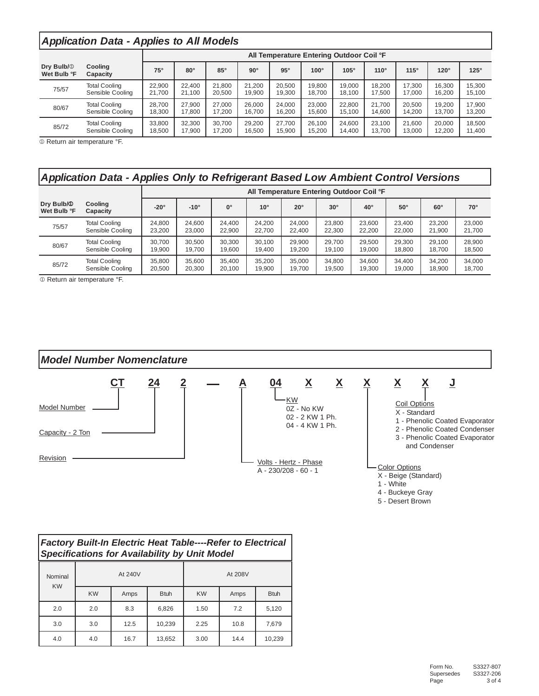# **Application Data - Applies to All Models**

|                                       |                      | All Temperature Entering Outdoor Coil °F |            |            |            |            |             |             |             |             |             |             |
|---------------------------------------|----------------------|------------------------------------------|------------|------------|------------|------------|-------------|-------------|-------------|-------------|-------------|-------------|
| Dry Bulb/ <sup>1</sup><br>Wet Bulb °F | Cooling<br>Capacity  | $75^\circ$                               | $80^\circ$ | $85^\circ$ | $90^\circ$ | $95^\circ$ | $100^\circ$ | $105^\circ$ | $110^\circ$ | $115^\circ$ | $120^\circ$ | $125^\circ$ |
| 75/57                                 | <b>Total Cooling</b> | 22,900                                   | 22.400     | 21.800     | 21.200     | 20.500     | 19.800      | 19.000      | 18.200      | 17.300      | 16.300      | 15.300      |
|                                       | Sensible Cooling     | 21.700                                   | 21.100     | 20.500     | 19.900     | 19.300     | 18.700      | 18.100      | 17.500      | 17.000      | 16.200      | 15.100      |
| 80/67                                 | <b>Total Cooling</b> | 28.700                                   | 27.900     | 27.000     | 26.000     | 24.000     | 23.000      | 22.800      | 21.700      | 20.500      | 19.200      | 17.900      |
|                                       | Sensible Cooling     | 18.300                                   | 17.800     | 17.200     | 16.700     | 16.200     | 15.600      | 15.100      | 14.600      | 14.200      | 13.700      | 13.200      |
| 85/72                                 | <b>Total Cooling</b> | 33.800                                   | 32.300     | 30.700     | 29.200     | 27.700     | 26.100      | 24.600      | 23.100      | 21.600      | 20.000      | 18.500      |
|                                       | Sensible Cooling     | 18,500                                   | 17.900     | 17.200     | 16.500     | 15.900     | 15.200      | 14.400      | 13.700      | 13.000      | 12.200      | 11.400      |

® Return air temperature °F.

# Application Data - Applies Only to Refrigerant Based Low Ambient Control Versions

|                                       |                      | All Temperature Entering Outdoor Coil °F |               |             |              |              |            |              |            |            |              |
|---------------------------------------|----------------------|------------------------------------------|---------------|-------------|--------------|--------------|------------|--------------|------------|------------|--------------|
| Dry Bulb/ <sup>0</sup><br>Wet Bulb °F | Cooling<br>Capacity  | $-20^\circ$                              | $-10^{\circ}$ | $0^{\circ}$ | $10^{\circ}$ | $20^{\circ}$ | $30^\circ$ | $40^{\circ}$ | $50^\circ$ | $60^\circ$ | $70^{\circ}$ |
| 75/57                                 | <b>Total Cooling</b> | 24.800                                   | 24.600        | 24.400      | 24.200       | 24.000       | 23.800     | 23.600       | 23.400     | 23.200     | 23.000       |
|                                       | Sensible Cooling     | 23.200                                   | 23.000        | 22.900      | 22.700       | 22.400       | 22,300     | 22,200       | 22.000     | 21.900     | 21.700       |
| 80/67                                 | <b>Total Cooling</b> | 30.700                                   | 30.500        | 30.300      | 30.100       | 29.900       | 29.700     | 29.500       | 29.300     | 29.100     | 28,900       |
|                                       | Sensible Cooling     | 19.900                                   | 19.700        | 19.600      | 19.400       | 19.200       | 19.100     | 19.000       | 18,800     | 18.700     | 18.500       |
| 85/72                                 | <b>Total Cooling</b> | 35.800                                   | 35.600        | 35.400      | 35.200       | 35.000       | 34.800     | 34.600       | 34.400     | 34.200     | 34.000       |
|                                       | Sensible Cooling     | 20,500                                   | 20,300        | 20.100      | 19.900       | 19.700       | 19.500     | 19.300       | 19.000     | 18.900     | 18.700       |

® Return air temperature °F.

# **Model Number Nomenclature**



4 - Buckeye Gray

5 - Desert Brown

| <b>Factory Built-In Electric Heat Table----Refer to Electrical</b><br><b>Specifications for Availability by Unit Model</b> |           |         |             |           |         |             |  |  |  |  |
|----------------------------------------------------------------------------------------------------------------------------|-----------|---------|-------------|-----------|---------|-------------|--|--|--|--|
| Nominal<br><b>KW</b>                                                                                                       |           | At 240V |             |           | At 208V |             |  |  |  |  |
|                                                                                                                            | <b>KW</b> | Amps    | <b>Btuh</b> | <b>KW</b> | Amps    | <b>Btuh</b> |  |  |  |  |
| 2.0                                                                                                                        | 2.0       | 8.3     | 6.826       | 1.50      | 7.2     | 5.120       |  |  |  |  |
| 3.0                                                                                                                        | 3.0       | 12.5    | 10.239      | 2.25      | 10.8    | 7.679       |  |  |  |  |
| 4.0                                                                                                                        | 4.0       | 16.7    | 13.652      | 3.00      | 14.4    | 10.239      |  |  |  |  |

#### 3.00 10,239 14.4